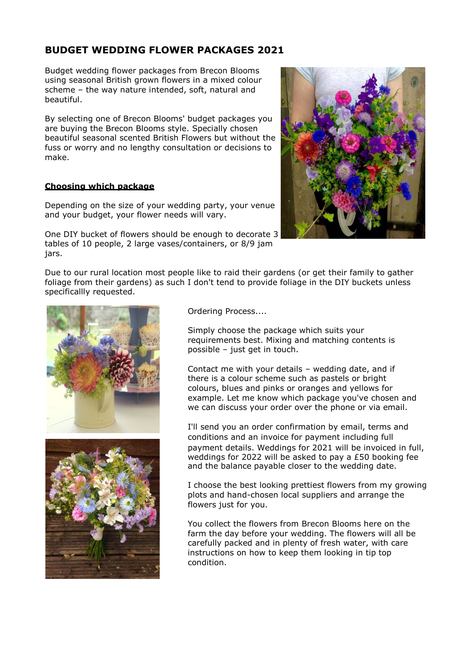# **BUDGET WEDDING FLOWER PACKAGES 2021**

Budget wedding flower packages from Brecon Blooms using seasonal British grown flowers in a mixed colour scheme – the way nature intended, soft, natural and beautiful.

By selecting one of Brecon Blooms' budget packages you are buying the Brecon Blooms style. Specially chosen beautiful seasonal scented British Flowers but without the fuss or worry and no lengthy consultation or decisions to make.

# **Choosing which package**

Depending on the size of your wedding party, your venue and your budget, your flower needs will vary.

One DIY bucket of flowers should be enough to decorate 3 tables of 10 people, 2 large vases/containers, or 8/9 jam jars.

Due to our rural location most people like to raid their gardens (or get their family to gather foliage from their gardens) as such I don't tend to provide foliage in the DIY buckets unless specificallly requested.





Ordering Process....

Simply choose the package which suits your requirements best. Mixing and matching contents is possible – just get in touch.

Contact me with your details – wedding date, and if there is a colour scheme such as pastels or bright colours, blues and pinks or oranges and yellows for example. Let me know which package you've chosen and we can discuss your order over the phone or via email.

I'll send you an order confirmation by email, terms and conditions and an invoice for payment including full payment details. Weddings for 2021 will be invoiced in full, weddings for 2022 will be asked to pay a £50 booking fee and the balance payable closer to the wedding date.

I choose the best looking prettiest flowers from my growing plots and hand-chosen local suppliers and arrange the flowers just for you.

You collect the flowers from Brecon Blooms here on the farm the day before your wedding. The flowers will all be carefully packed and in plenty of fresh water, with care instructions on how to keep them looking in tip top condition.